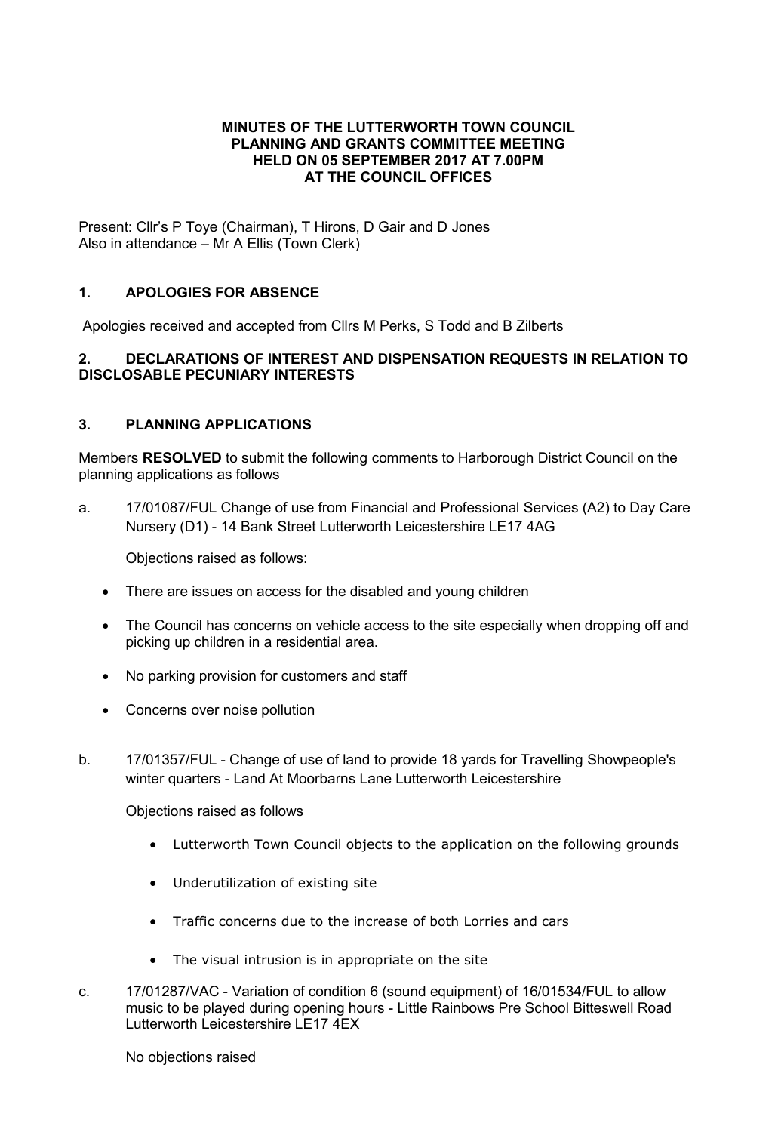### MINUTES OF THE LUTTERWORTH TOWN COUNCIL PLANNING AND GRANTS COMMITTEE MEETING HELD ON 05 SEPTEMBER 2017 AT 7.00PM AT THE COUNCIL OFFICES

Present: Cllr's P Toye (Chairman), T Hirons, D Gair and D Jones Also in attendance – Mr A Ellis (Town Clerk)

# 1. APOLOGIES FOR ABSENCE

Apologies received and accepted from Cllrs M Perks, S Todd and B Zilberts

### 2. DECLARATIONS OF INTEREST AND DISPENSATION REQUESTS IN RELATION TO DISCLOSABLE PECUNIARY INTERESTS

### 3. PLANNING APPLICATIONS

Members RESOLVED to submit the following comments to Harborough District Council on the planning applications as follows

a. 17/01087/FUL Change of use from Financial and Professional Services (A2) to Day Care Nursery (D1) - 14 Bank Street Lutterworth Leicestershire LE17 4AG

Objections raised as follows:

- There are issues on access for the disabled and young children
- The Council has concerns on vehicle access to the site especially when dropping off and picking up children in a residential area.
- No parking provision for customers and staff
- Concerns over noise pollution
- b. 17/01357/FUL Change of use of land to provide 18 yards for Travelling Showpeople's winter quarters - Land At Moorbarns Lane Lutterworth Leicestershire

Objections raised as follows

- Lutterworth Town Council objects to the application on the following grounds
- Underutilization of existing site
- Traffic concerns due to the increase of both Lorries and cars
- The visual intrusion is in appropriate on the site
- c. 17/01287/VAC Variation of condition 6 (sound equipment) of 16/01534/FUL to allow music to be played during opening hours - Little Rainbows Pre School Bitteswell Road Lutterworth Leicestershire LE17 4EX

No objections raised